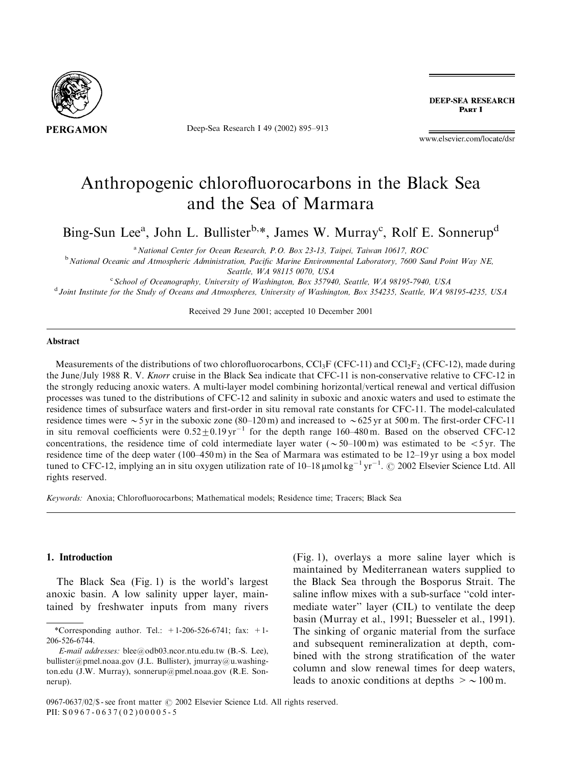

Deep-Sea Research I 49 (2002) 895–913

**DEEP-SEA RESEARCH** PART I

www.elsevier.com/locate/dsr

# Anthropogenic chlorofluorocarbons in the Black Sea and the Sea of Marmara

Bing-Sun Lee<sup>a</sup>, John L. Bullister<sup>b,\*</sup>, James W. Murray<sup>c</sup>, Rolf E. Sonnerup<sup>d</sup>

<sup>a</sup> National Center for Ocean Research, P.O. Box 23-13, Taipei, Taiwan 10617, ROC

<sup>b</sup> National Oceanic and Atmospheric Administration, Pacific Marine Environmental Laboratory, 7600 Sand Point Way NE, Seattle, WA 98115 0070, USA

<sup>c</sup> School of Oceanography, University of Washington, Box 357940, Seattle, WA 98195-7940, USA

<sup>d</sup> Joint Institute for the Study of Oceans and Atmospheres, University of Washington, Box 354235, Seattle, WA 98195-4235, USA

Received 29 June 2001; accepted 10 December 2001

#### Abstract

Measurements of the distributions of two chlorofluorocarbons, CCl<sub>3</sub>F (CFC-11) and CCl<sub>2</sub>F<sub>2</sub> (CFC-12), made during the June/July 1988 R. V. Knorr cruise in the Black Sea indicate that CFC-11 is non-conservative relative to CFC-12 in the strongly reducing anoxic waters. A multi-layer model combining horizontal/vertical renewal and vertical diffusion processes was tuned to the distributions of CFC-12 and salinity in suboxic and anoxic waters and used to estimate the residence times of subsurface waters and first-order in situ removal rate constants for CFC-11. The model-calculated residence times were  $\sim$  5 yr in the suboxic zone (80–120 m) and increased to  $\sim$  625 yr at 500 m. The first-order CFC-11 in situ removal coefficients were  $0.52\pm0.19$  yr<sup>-1</sup> for the depth range 160–480 m. Based on the observed CFC-12 concentrations, the residence time of cold intermediate layer water ( $\sim 50$ –100 m) was estimated to be  $\lt$ 5 yr. The residence time of the deep water (100–450 m) in the Sea of Marmara was estimated to be 12–19 yr using a box model tuned to CFC-12, implying an in situ oxygen utilization rate of  $10-18 \mu$ mol kg<sup>-1</sup> yr<sup>-1</sup>. © 2002 Elsevier Science Ltd. All rights reserved.

Keywords: Anoxia; Chlorofluorocarbons; Mathematical models; Residence time; Tracers; Black Sea

### 1. Introduction

The Black Sea (Fig. 1) is the world's largest anoxic basin. A low salinity upper layer, maintained by freshwater inputs from many rivers

(Fig. 1), overlays a more saline layer which is maintained by Mediterranean waters supplied to the Black Sea through the Bosporus Strait. The saline inflow mixes with a sub-surface ''cold intermediate water'' layer (CIL) to ventilate the deep basin (Murray et al., 1991; Buesseler et al., 1991). The sinking of organic material from the surface and subsequent remineralization at depth, combined with the strong stratification of the water column and slow renewal times for deep waters, leads to anoxic conditions at depths  $\geq \sim 100$  m.

<sup>\*</sup>Corresponding author. Tel.:  $+1-206-526-6741$ ; fax:  $+1-$ 206-526-6744.

E-mail addresses: blee@odb03.ncor.ntu.edu.tw (B.-S. Lee), bullister@pmel.noaa.gov (J.L. Bullister), jmurray@u.washington.edu (J.W. Murray), sonnerup@pmel.noaa.gov (R.E. Sonnerup).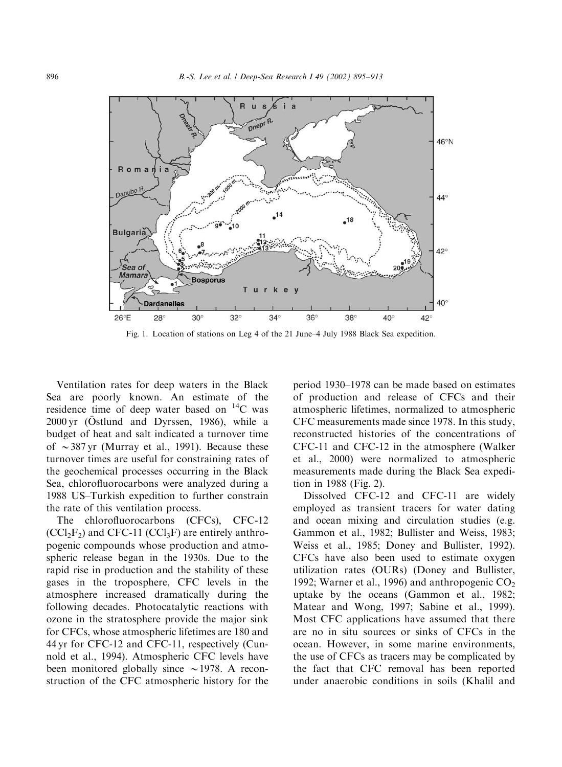

Fig. 1. Location of stations on Leg 4 of the 21 June–4 July 1988 Black Sea expedition.

Ventilation rates for deep waters in the Black Sea are poorly known. An estimate of the residence time of deep water based on  $^{14}$ C was 2000 yr (Östlund and Dyrssen, 1986), while a budget of heat and salt indicated a turnover time of  $\sim$  387 yr (Murray et al., 1991). Because these turnover times are useful for constraining rates of the geochemical processes occurring in the Black Sea, chlorofluorocarbons were analyzed during a 1988 US–Turkish expedition to further constrain the rate of this ventilation process.

The chlorofluorocarbons (CFCs), CFC-12  $(CCl<sub>2</sub>F<sub>2</sub>)$  and CFC-11  $(CCl<sub>3</sub>F)$  are entirely anthropogenic compounds whose production and atmospheric release began in the 1930s. Due to the rapid rise in production and the stability of these gases in the troposphere, CFC levels in the atmosphere increased dramatically during the following decades. Photocatalytic reactions with ozone in the stratosphere provide the major sink for CFCs, whose atmospheric lifetimes are 180 and 44 yr for CFC-12 and CFC-11, respectively (Cunnold et al., 1994). Atmospheric CFC levels have been monitored globally since  $\sim$  1978. A reconstruction of the CFC atmospheric history for the

period 1930–1978 can be made based on estimates of production and release of CFCs and their atmospheric lifetimes, normalized to atmospheric CFC measurements made since 1978. In this study, reconstructed histories of the concentrations of CFC-11 and CFC-12 in the atmosphere (Walker et al., 2000) were normalized to atmospheric measurements made during the Black Sea expedition in 1988 (Fig. 2).

Dissolved CFC-12 and CFC-11 are widely employed as transient tracers for water dating and ocean mixing and circulation studies (e.g. Gammon et al., 1982; Bullister and Weiss, 1983; Weiss et al., 1985; Doney and Bullister, 1992). CFCs have also been used to estimate oxygen utilization rates (OURs) (Doney and Bullister, 1992; Warner et al., 1996) and anthropogenic  $CO<sub>2</sub>$ uptake by the oceans (Gammon et al., 1982; Matear and Wong, 1997; Sabine et al., 1999). Most CFC applications have assumed that there are no in situ sources or sinks of CFCs in the ocean. However, in some marine environments, the use of CFCs as tracers may be complicated by the fact that CFC removal has been reported under anaerobic conditions in soils (Khalil and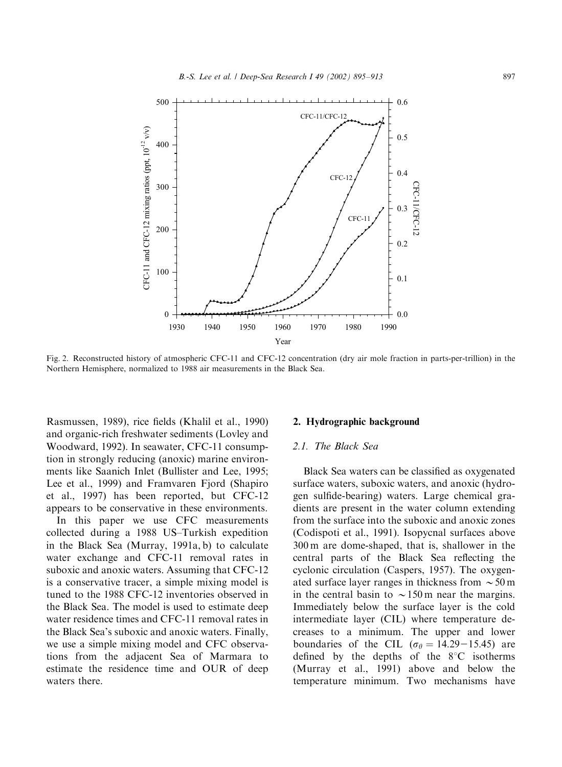

Fig. 2. Reconstructed history of atmospheric CFC-11 and CFC-12 concentration (dry air mole fraction in parts-per-trillion) in the Northern Hemisphere, normalized to 1988 air measurements in the Black Sea.

Rasmussen, 1989), rice fields (Khalil et al., 1990) and organic-rich freshwater sediments (Lovley and Woodward, 1992). In seawater, CFC-11 consumption in strongly reducing (anoxic) marine environments like Saanich Inlet (Bullister and Lee, 1995; Lee et al., 1999) and Framvaren Fjord (Shapiro et al., 1997) has been reported, but CFC-12 appears to be conservative in these environments.

In this paper we use CFC measurements collected during a 1988 US–Turkish expedition in the Black Sea (Murray, 1991a, b) to calculate water exchange and CFC-11 removal rates in suboxic and anoxic waters. Assuming that CFC-12 is a conservative tracer, a simple mixing model is tuned to the 1988 CFC-12 inventories observed in the Black Sea. The model is used to estimate deep water residence times and CFC-11 removal rates in the Black Sea's suboxic and anoxic waters. Finally, we use a simple mixing model and CFC observations from the adjacent Sea of Marmara to estimate the residence time and OUR of deep waters there.

#### 2. Hydrographic background

## 2.1. The Black Sea

Black Sea waters can be classified as oxygenated surface waters, suboxic waters, and anoxic (hydrogen sulfide-bearing) waters. Large chemical gradients are present in the water column extending from the surface into the suboxic and anoxic zones (Codispoti et al., 1991). Isopycnal surfaces above 300 m are dome-shaped, that is, shallower in the central parts of the Black Sea reflecting the cyclonic circulation (Caspers, 1957). The oxygenated surface layer ranges in thickness from  $\sim$  50 m in the central basin to  $\sim$  150 m near the margins. Immediately below the surface layer is the cold intermediate layer (CIL) where temperature decreases to a minimum. The upper and lower boundaries of the CIL ( $\sigma_{\theta} = 14.29 - 15.45$ ) are defined by the depths of the  $8^{\circ}$ C isotherms (Murray et al., 1991) above and below the temperature minimum. Two mechanisms have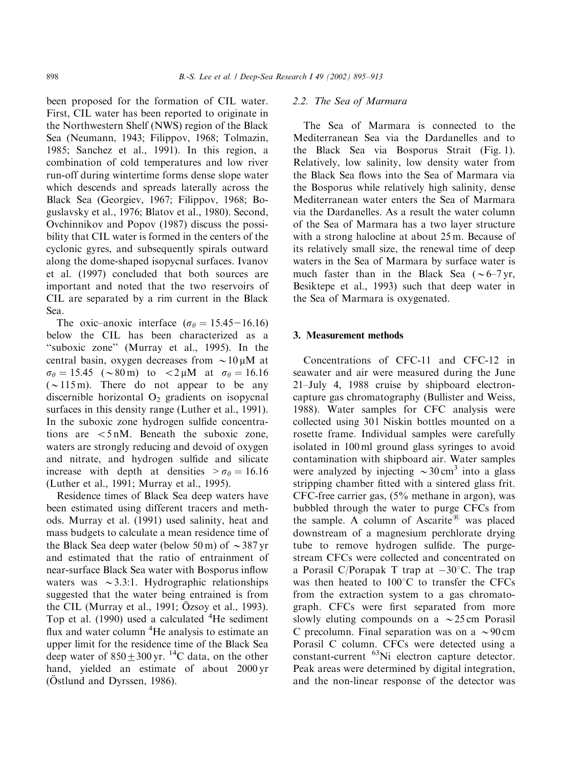been proposed for the formation of CIL water. First, CIL water has been reported to originate in the Northwestern Shelf (NWS) region of the Black Sea (Neumann, 1943; Filippov, 1968; Tolmazin, 1985; Sanchez et al., 1991). In this region, a combination of cold temperatures and low river run-off during wintertime forms dense slope water which descends and spreads laterally across the Black Sea (Georgiev, 1967; Filippov, 1968; Boguslavsky et al., 1976; Blatov et al., 1980). Second, Ovchinnikov and Popov (1987) discuss the possibility that CIL water is formed in the centers of the cyclonic gyres, and subsequently spirals outward along the dome-shaped isopycnal surfaces. Ivanov et al. (1997) concluded that both sources are important and noted that the two reservoirs of CIL are separated by a rim current in the Black Sea.

The oxic–anoxic interface ( $\sigma_{\theta} = 15.45 - 16.16$ ) below the CIL has been characterized as a ''suboxic zone'' (Murray et al., 1995). In the central basin, oxygen decreases from  $\sim 10 \mu M$  at  $\sigma_{\theta} = 15.45 \,$  (~80 m) to <2 µM at  $\sigma_{\theta} = 16.16$  $(\sim 115 \,\mathrm{m})$ . There do not appear to be any discernible horizontal  $O_2$  gradients on isopycnal surfaces in this density range (Luther et al., 1991). In the suboxic zone hydrogen sulfide concentrations are  $\langle 5 \text{ nM} \rangle$ . Beneath the suboxic zone, waters are strongly reducing and devoid of oxygen and nitrate, and hydrogen sulfide and silicate increase with depth at densities  $> \sigma_{\theta} = 16.16$ (Luther et al., 1991; Murray et al., 1995).

Residence times of Black Sea deep waters have been estimated using different tracers and methods. Murray et al. (1991) used salinity, heat and mass budgets to calculate a mean residence time of the Black Sea deep water (below 50 m) of  $\sim$  387 yr and estimated that the ratio of entrainment of near-surface Black Sea water with Bosporus inflow waters was  $\sim$ 3.3:1. Hydrographic relationships suggested that the water being entrained is from the CIL (Murray et al., 1991; Özsoy et al., 1993). Top et al. (1990) used a calculated <sup>4</sup>He sediment flux and water column <sup>4</sup>He analysis to estimate an upper limit for the residence time of the Black Sea deep water of  $850+300$  yr. <sup>14</sup>C data, on the other hand, yielded an estimate of about 2000 yr ( $Ostlund$  and Dyrssen, 1986).

#### 2.2. The Sea of Marmara

The Sea of Marmara is connected to the Mediterranean Sea via the Dardanelles and to the Black Sea via Bosporus Strait (Fig. 1). Relatively, low salinity, low density water from the Black Sea flows into the Sea of Marmara via the Bosporus while relatively high salinity, dense Mediterranean water enters the Sea of Marmara via the Dardanelles. As a result the water column of the Sea of Marmara has a two layer structure with a strong halocline at about 25 m. Because of its relatively small size, the renewal time of deep waters in the Sea of Marmara by surface water is much faster than in the Black Sea ( $\sim$  6–7 yr, Besiktepe et al., 1993) such that deep water in the Sea of Marmara is oxygenated.

#### 3. Measurement methods

Concentrations of CFC-11 and CFC-12 in seawater and air were measured during the June 21–July 4, 1988 cruise by shipboard electroncapture gas chromatography (Bullister and Weiss, 1988). Water samples for CFC analysis were collected using 301 Niskin bottles mounted on a rosette frame. Individual samples were carefully isolated in 100 ml ground glass syringes to avoid contamination with shipboard air. Water samples were analyzed by injecting  $\sim$  30 cm<sup>3</sup> into a glass stripping chamber fitted with a sintered glass frit. CFC-free carrier gas, (5% methane in argon), was bubbled through the water to purge CFCs from the sample. A column of Ascarite<sup>®</sup> was placed downstream of a magnesium perchlorate drying tube to remove hydrogen sulfide. The purgestream CFCs were collected and concentrated on a Porasil C/Porapak T trap at  $-30^{\circ}$ C. The trap was then heated to  $100^{\circ}$ C to transfer the CFCs from the extraction system to a gas chromatograph. CFCs were first separated from more slowly eluting compounds on a  $\sim$  25 cm Porasil C precolumn. Final separation was on a  $\sim$ 90 cm Porasil C column. CFCs were detected using a constant-current 63Ni electron capture detector. Peak areas were determined by digital integration, and the non-linear response of the detector was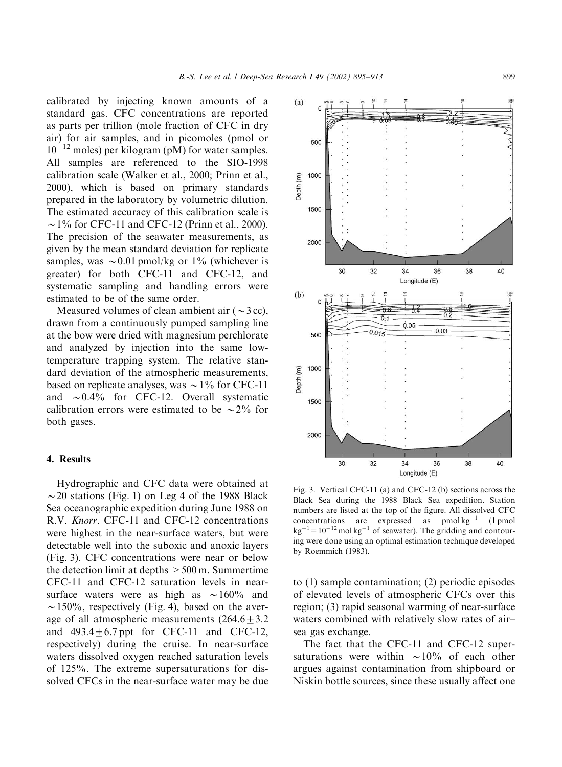calibrated by injecting known amounts of a standard gas. CFC concentrations are reported as parts per trillion (mole fraction of CFC in dry air) for air samples, and in picomoles (pmol or  $10^{-12}$  moles) per kilogram (pM) for water samples. All samples are referenced to the SIO-1998 calibration scale (Walker et al., 2000; Prinn et al., 2000), which is based on primary standards prepared in the laboratory by volumetric dilution. The estimated accuracy of this calibration scale is  $\sim$  1% for CFC-11 and CFC-12 (Prinn et al., 2000). The precision of the seawater measurements, as given by the mean standard deviation for replicate samples, was  $\sim 0.01$  pmol/kg or 1% (whichever is greater) for both CFC-11 and CFC-12, and systematic sampling and handling errors were estimated to be of the same order.

Measured volumes of clean ambient air  $(\sim 3 \text{ cc})$ , drawn from a continuously pumped sampling line at the bow were dried with magnesium perchlorate and analyzed by injection into the same lowtemperature trapping system. The relative standard deviation of the atmospheric measurements, based on replicate analyses, was  $\sim$  1% for CFC-11 and  $\sim 0.4\%$  for CFC-12. Overall systematic calibration errors were estimated to be  $\sim$  2% for both gases.

#### 4. Results

Hydrographic and CFC data were obtained at  $\sim$  20 stations (Fig. 1) on Leg 4 of the 1988 Black Sea oceanographic expedition during June 1988 on R.V. Knorr. CFC-11 and CFC-12 concentrations were highest in the near-surface waters, but were detectable well into the suboxic and anoxic layers (Fig. 3). CFC concentrations were near or below the detection limit at depths  $>500$  m. Summertime CFC-11 and CFC-12 saturation levels in nearsurface waters were as high as  $\sim 160\%$  and  $\sim$  150%, respectively (Fig. 4), based on the average of all atmospheric measurements  $(264.6+3.2)$ and  $493.4+6.7$  ppt for CFC-11 and CFC-12, respectively) during the cruise. In near-surface waters dissolved oxygen reached saturation levels of 125%. The extreme supersaturations for dissolved CFCs in the near-surface water may be due



Fig. 3. Vertical CFC-11 (a) and CFC-12 (b) sections across the Black Sea during the 1988 Black Sea expedition. Station numbers are listed at the top of the figure. All dissolved CFC concentrations are expressed as  $pmol kg^{-1}$  (1 pmol  $kg^{-1} = 10^{-12}$  mol kg<sup>-1</sup> of seawater). The gridding and contouring were done using an optimal estimation technique developed by Roemmich (1983).

to (1) sample contamination; (2) periodic episodes of elevated levels of atmospheric CFCs over this region; (3) rapid seasonal warming of near-surface waters combined with relatively slow rates of air– sea gas exchange.

The fact that the CFC-11 and CFC-12 supersaturations were within  $\sim 10\%$  of each other argues against contamination from shipboard or Niskin bottle sources, since these usually affect one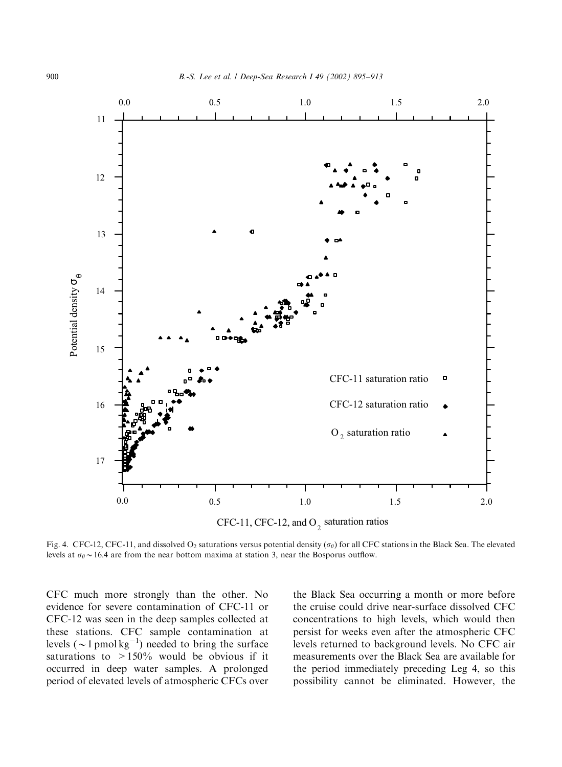

Fig. 4. CFC-12, CFC-11, and dissolved O<sub>2</sub> saturations versus potential density ( $\sigma_{\theta}$ ) for all CFC stations in the Black Sea. The elevated levels at  $\sigma_{\theta} \sim 16.4$  are from the near bottom maxima at station 3, near the Bosporus outflow.

CFC much more strongly than the other. No evidence for severe contamination of CFC-11 or CFC-12 was seen in the deep samples collected at these stations. CFC sample contamination at levels ( $\sim$  1 pmol kg<sup>-1</sup>) needed to bring the surface saturations to  $>150\%$  would be obvious if it occurred in deep water samples. A prolonged period of elevated levels of atmospheric CFCs over

the Black Sea occurring a month or more before the cruise could drive near-surface dissolved CFC concentrations to high levels, which would then persist for weeks even after the atmospheric CFC levels returned to background levels. No CFC air measurements over the Black Sea are available for the period immediately preceding Leg 4, so this possibility cannot be eliminated. However, the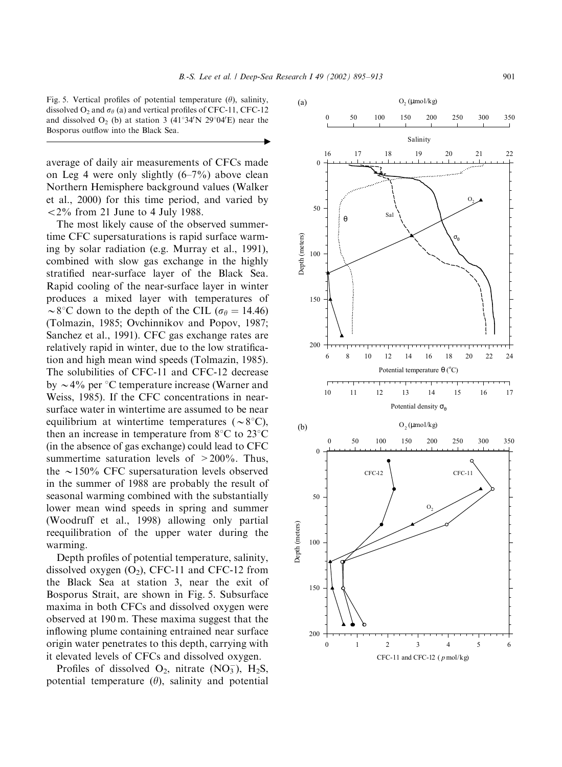$\blacktriangleright$ 

Fig. 5. Vertical profiles of potential temperature  $(\theta)$ , salinity, dissolved  $O_2$  and  $\sigma_\theta$  (a) and vertical profiles of CFC-11, CFC-12 and dissolved  $O_2$  (b) at station 3 (41°34'N 29°04'E) near the Bosporus outflow into the Black Sea.

average of daily air measurements of CFCs made on Leg 4 were only slightly  $(6-7%)$  above clean Northern Hemisphere background values (Walker et al., 2000) for this time period, and varied by  $\langle 2\%$  from 21 June to 4 July 1988.

The most likely cause of the observed summertime CFC supersaturations is rapid surface warming by solar radiation (e.g. Murray et al., 1991), combined with slow gas exchange in the highly stratified near-surface layer of the Black Sea. Rapid cooling of the near-surface layer in winter produces a mixed layer with temperatures of  $\sim$ 8°C down to the depth of the CIL ( $\sigma_{\theta} = 14.46$ ) (Tolmazin, 1985; Ovchinnikov and Popov, 1987; Sanchez et al., 1991). CFC gas exchange rates are relatively rapid in winter, due to the low stratification and high mean wind speeds (Tolmazin, 1985). The solubilities of CFC-11 and CFC-12 decrease by  $\sim$  4% per  $\degree$ C temperature increase (Warner and Weiss, 1985). If the CFC concentrations in nearsurface water in wintertime are assumed to be near equilibrium at wintertime temperatures ( $\sim 8^{\circ}$ C), then an increase in temperature from  $8^{\circ}$ C to  $23^{\circ}$ C (in the absence of gas exchange) could lead to CFC summertime saturation levels of  $>200\%$ . Thus, the  $\sim$ 150% CFC supersaturation levels observed in the summer of 1988 are probably the result of seasonal warming combined with the substantially lower mean wind speeds in spring and summer (Woodruff et al., 1998) allowing only partial reequilibration of the upper water during the warming.

Depth profiles of potential temperature, salinity, dissolved oxygen  $(O_2)$ , CFC-11 and CFC-12 from the Black Sea at station 3, near the exit of Bosporus Strait, are shown in Fig. 5. Subsurface maxima in both CFCs and dissolved oxygen were observed at 190 m. These maxima suggest that the inflowing plume containing entrained near surface origin water penetrates to this depth, carrying with it elevated levels of CFCs and dissolved oxygen.

Profiles of dissolved  $O_2$ , nitrate (NO<sub>3</sub>), H<sub>2</sub>S, potential temperature  $(\theta)$ , salinity and potential

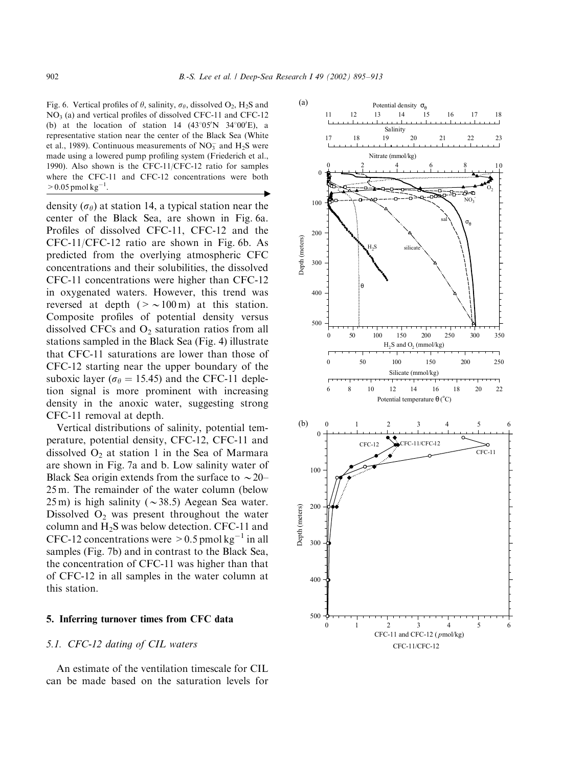Fig. 6. Vertical profiles of  $\theta$ , salinity,  $\sigma_{\theta}$ , dissolved  $O_2$ , H<sub>2</sub>S and  $NO<sub>3</sub>$  (a) and vertical profiles of dissolved CFC-11 and CFC-12 (b) at the location of station 14  $(43^{\circ}05'N)$  34°00'E), a representative station near the center of the Black Sea (White et al., 1989). Continuous measurements of  $NO<sub>3</sub><sup>-</sup>$  and  $H<sub>2</sub>S$  were made using a lowered pump profiling system (Friederich et al., 1990). Also shown is the CFC-11/CFC-12 ratio for samples where the CFC-11 and CFC-12 concentrations were both  $> 0.05$  pmol kg<sup>-1</sup>. . "

density ( $\sigma_{\theta}$ ) at station 14, a typical station near the center of the Black Sea, are shown in Fig. 6a. Profiles of dissolved CFC-11, CFC-12 and the CFC-11/CFC-12 ratio are shown in Fig. 6b. As predicted from the overlying atmospheric CFC concentrations and their solubilities, the dissolved CFC-11 concentrations were higher than CFC-12 in oxygenated waters. However, this trend was reversed at depth ( $>$  ~100 m) at this station. Composite profiles of potential density versus dissolved CFCs and  $O<sub>2</sub>$  saturation ratios from all stations sampled in the Black Sea (Fig. 4) illustrate that CFC-11 saturations are lower than those of CFC-12 starting near the upper boundary of the suboxic layer ( $\sigma_{\theta} = 15.45$ ) and the CFC-11 depletion signal is more prominent with increasing density in the anoxic water, suggesting strong CFC-11 removal at depth.

Vertical distributions of salinity, potential temperature, potential density, CFC-12, CFC-11 and dissolved  $O_2$  at station 1 in the Sea of Marmara are shown in Fig. 7a and b. Low salinity water of Black Sea origin extends from the surface to  $\sim$  20– 25 m. The remainder of the water column (below  $25 \text{ m}$ ) is high salinity ( $\sim$  38.5) Aegean Sea water. Dissolved  $O_2$  was present throughout the water column and  $H_2S$  was below detection. CFC-11 and CFC-12 concentrations were  $> 0.5$  pmol kg<sup>-1</sup> in all samples (Fig. 7b) and in contrast to the Black Sea, the concentration of CFC-11 was higher than that of CFC-12 in all samples in the water column at this station.

#### 5. Inferring turnover times from CFC data

#### 5.1. CFC-12 dating of CIL waters

An estimate of the ventilation timescale for CIL can be made based on the saturation levels for

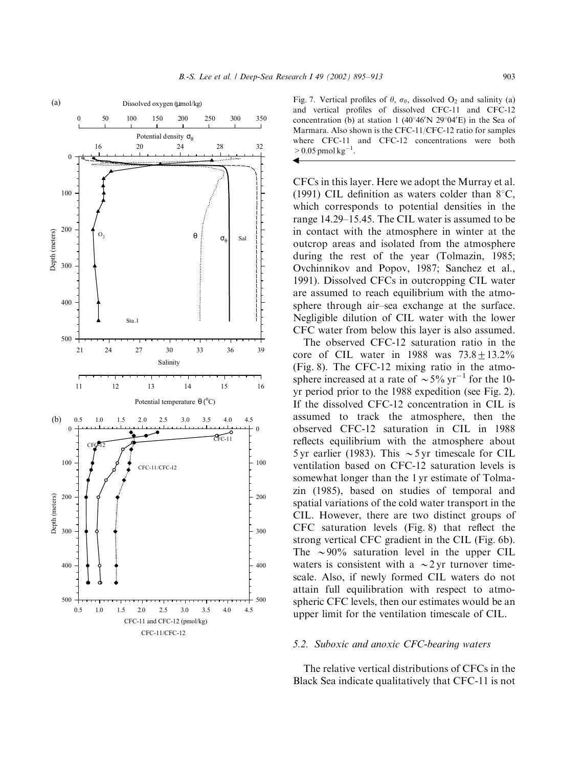

Fig. 7. Vertical profiles of  $\theta$ ,  $\sigma_{\theta}$ , dissolved O<sub>2</sub> and salinity (a) and vertical profiles of dissolved CFC-11 and CFC-12 concentration (b) at station  $1 (40°46'N 29°04'E)$  in the Sea of Marmara. Also shown is the CFC-11/CFC-12 ratio for samples where CFC-11 and CFC-12 concentrations were both  $> 0.05$  pmol kg<sup>-1</sup>.  $\blacktriangleleft$ 

CFCs in this layer. Here we adopt the Murray et al. (1991) CIL definition as waters colder than  $8^{\circ}$ C, which corresponds to potential densities in the range 14.29–15.45. The CIL water is assumed to be in contact with the atmosphere in winter at the outcrop areas and isolated from the atmosphere during the rest of the year (Tolmazin, 1985; Ovchinnikov and Popov, 1987; Sanchez et al., 1991). Dissolved CFCs in outcropping CIL water are assumed to reach equilibrium with the atmosphere through air–sea exchange at the surface. Negligible dilution of CIL water with the lower CFC water from below this layer is also assumed.

The observed CFC-12 saturation ratio in the core of CIL water in  $1988$  was  $73.8+13.2\%$ (Fig. 8). The CFC-12 mixing ratio in the atmosphere increased at a rate of  $\sim$  5% yr<sup>-1</sup> for the 10yr period prior to the 1988 expedition (see Fig. 2). If the dissolved CFC-12 concentration in CIL is assumed to track the atmosphere, then the observed CFC-12 saturation in CIL in 1988 reflects equilibrium with the atmosphere about 5 yr earlier (1983). This  $\sim$  5 yr timescale for CIL ventilation based on CFC-12 saturation levels is somewhat longer than the 1 yr estimate of Tolmazin (1985), based on studies of temporal and spatial variations of the cold water transport in the CIL. However, there are two distinct groups of CFC saturation levels (Fig. 8) that reflect the strong vertical CFC gradient in the CIL (Fig. 6b). The  $\sim$ 90% saturation level in the upper CIL waters is consistent with a  $\sim$  2 yr turnover timescale. Also, if newly formed CIL waters do not attain full equilibration with respect to atmospheric CFC levels, then our estimates would be an upper limit for the ventilation timescale of CIL.

#### 5.2. Suboxic and anoxic CFC-bearing waters

The relative vertical distributions of CFCs in the Black Sea indicate qualitatively that CFC-11 is not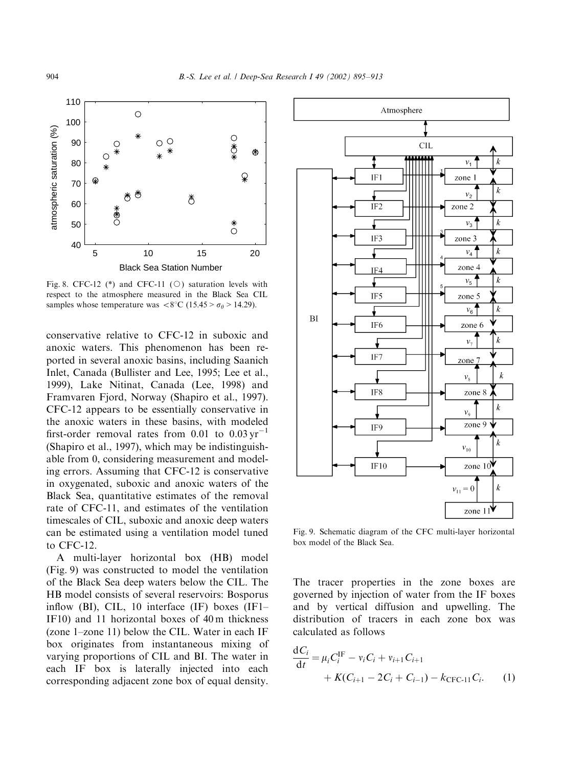

Fig. 8. CFC-12 (\*) and CFC-11 ( $\circ$ ) saturation levels with respect to the atmosphere measured in the Black Sea CIL samples whose temperature was  $<8^{\circ}\text{C}$  (15.45 >  $\sigma_{\theta}$  > 14.29).

conservative relative to CFC-12 in suboxic and anoxic waters. This phenomenon has been reported in several anoxic basins, including Saanich Inlet, Canada (Bullister and Lee, 1995; Lee et al., 1999), Lake Nitinat, Canada (Lee, 1998) and Framvaren Fjord, Norway (Shapiro et al., 1997). CFC-12 appears to be essentially conservative in the anoxic waters in these basins, with modeled first-order removal rates from  $0.01$  to  $0.03 \text{ yr}^{-1}$ (Shapiro et al., 1997), which may be indistinguishable from 0, considering measurement and modeling errors. Assuming that CFC-12 is conservative in oxygenated, suboxic and anoxic waters of the Black Sea, quantitative estimates of the removal rate of CFC-11, and estimates of the ventilation timescales of CIL, suboxic and anoxic deep waters can be estimated using a ventilation model tuned to CFC-12.

A multi-layer horizontal box (HB) model (Fig. 9) was constructed to model the ventilation of the Black Sea deep waters below the CIL. The HB model consists of several reservoirs: Bosporus inflow (BI), CIL, 10 interface (IF) boxes (IF1– IF10) and 11 horizontal boxes of 40 m thickness (zone 1–zone 11) below the CIL. Water in each IF box originates from instantaneous mixing of varying proportions of CIL and BI. The water in each IF box is laterally injected into each corresponding adjacent zone box of equal density.



Fig. 9. Schematic diagram of the CFC multi-layer horizontal box model of the Black Sea.

The tracer properties in the zone boxes are governed by injection of water from the IF boxes and by vertical diffusion and upwelling. The distribution of tracers in each zone box was calculated as follows

$$
\frac{dC_i}{dt} = \mu_i C_i^{\text{IF}} - v_i C_i + v_{i+1} C_{i+1} + K(C_{i+1} - 2C_i + C_{i-1}) - k_{\text{CFC-11}} C_i.
$$
 (1)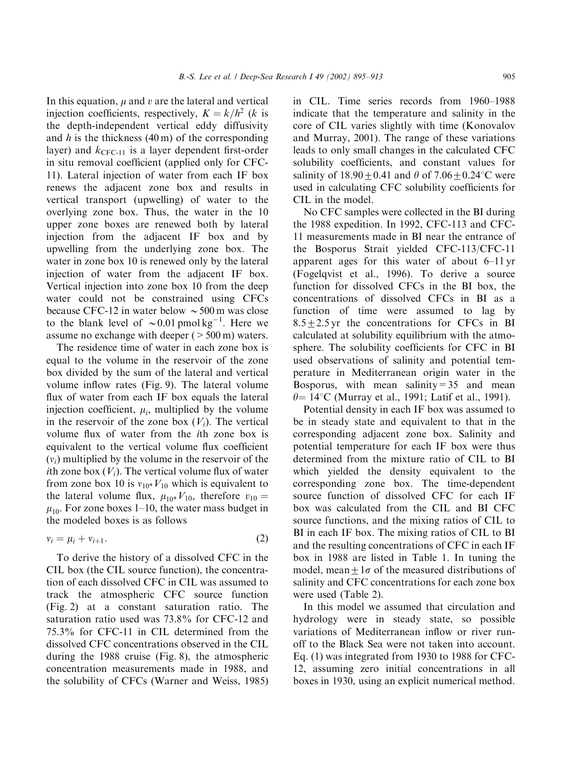In this equation,  $\mu$  and  $\nu$  are the lateral and vertical injection coefficients, respectively,  $K = k/h^2$  (k is the depth-independent vertical eddy diffusivity and  $h$  is the thickness (40 m) of the corresponding layer) and  $k_{CFC-11}$  is a layer dependent first-order in situ removal coefficient (applied only for CFC-11). Lateral injection of water from each IF box renews the adjacent zone box and results in vertical transport (upwelling) of water to the overlying zone box. Thus, the water in the 10 upper zone boxes are renewed both by lateral injection from the adjacent IF box and by upwelling from the underlying zone box. The water in zone box 10 is renewed only by the lateral injection of water from the adjacent IF box. Vertical injection into zone box 10 from the deep water could not be constrained using CFCs because CFC-12 in water below  $\sim$  500 m was close to the blank level of  $\sim 0.01$  pmol kg<sup>-1</sup>. Here we assume no exchange with deeper  $(>500 \text{ m})$  waters.

The residence time of water in each zone box is equal to the volume in the reservoir of the zone box divided by the sum of the lateral and vertical volume inflow rates (Fig. 9). The lateral volume flux of water from each IF box equals the lateral injection coefficient,  $\mu_i$ , multiplied by the volume in the reservoir of the zone box  $(V_i)$ . The vertical volume flux of water from the ith zone box is equivalent to the vertical volume flux coefficient  $(v_i)$  multiplied by the volume in the reservoir of the *i*th zone box  $(V_i)$ . The vertical volume flux of water from zone box 10 is  $v_{10}$  V<sub>10</sub> which is equivalent to the lateral volume flux,  $\mu_{10^*} V_{10}$ , therefore  $v_{10} =$  $\mu_{10}$ . For zone boxes 1–10, the water mass budget in the modeled boxes is as follows

$$
v_i = \mu_i + v_{i+1}.\tag{2}
$$

To derive the history of a dissolved CFC in the CIL box (the CIL source function), the concentration of each dissolved CFC in CIL was assumed to track the atmospheric CFC source function (Fig. 2) at a constant saturation ratio. The saturation ratio used was 73.8% for CFC-12 and 75.3% for CFC-11 in CIL determined from the dissolved CFC concentrations observed in the CIL during the 1988 cruise (Fig. 8), the atmospheric concentration measurements made in 1988, and the solubility of CFCs (Warner and Weiss, 1985) in CIL. Time series records from 1960–1988 indicate that the temperature and salinity in the core of CIL varies slightly with time (Konovalov and Murray, 2001). The range of these variations leads to only small changes in the calculated CFC solubility coefficients, and constant values for salinity of  $18.90 \pm 0.41$  and  $\theta$  of  $7.06 \pm 0.24$ <sup>o</sup>C were used in calculating CFC solubility coefficients for CIL in the model.

No CFC samples were collected in the BI during the 1988 expedition. In 1992, CFC-113 and CFC-11 measurements made in BI near the entrance of the Bosporus Strait yielded CFC-113/CFC-11 apparent ages for this water of about 6–11 yr (Fogelqvist et al., 1996). To derive a source function for dissolved CFCs in the BI box, the concentrations of dissolved CFCs in BI as a function of time were assumed to lag by  $8.5+2.5$  yr the concentrations for CFCs in BI calculated at solubility equilibrium with the atmosphere. The solubility coefficients for CFC in BI used observations of salinity and potential temperature in Mediterranean origin water in the Bosporus, with mean salinity =  $35$  and mean  $\theta$ = 14°C (Murray et al., 1991; Latif et al., 1991).

Potential density in each IF box was assumed to be in steady state and equivalent to that in the corresponding adjacent zone box. Salinity and potential temperature for each IF box were thus determined from the mixture ratio of CIL to BI which yielded the density equivalent to the corresponding zone box. The time-dependent source function of dissolved CFC for each IF box was calculated from the CIL and BI CFC source functions, and the mixing ratios of CIL to BI in each IF box. The mixing ratios of CIL to BI and the resulting concentrations of CFC in each IF box in 1988 are listed in Table 1. In tuning the model, mean +  $1\sigma$  of the measured distributions of salinity and CFC concentrations for each zone box were used (Table 2).

In this model we assumed that circulation and hydrology were in steady state, so possible variations of Mediterranean inflow or river runoff to the Black Sea were not taken into account. Eq. (1) was integrated from 1930 to 1988 for CFC-12, assuming zero initial concentrations in all boxes in 1930, using an explicit numerical method.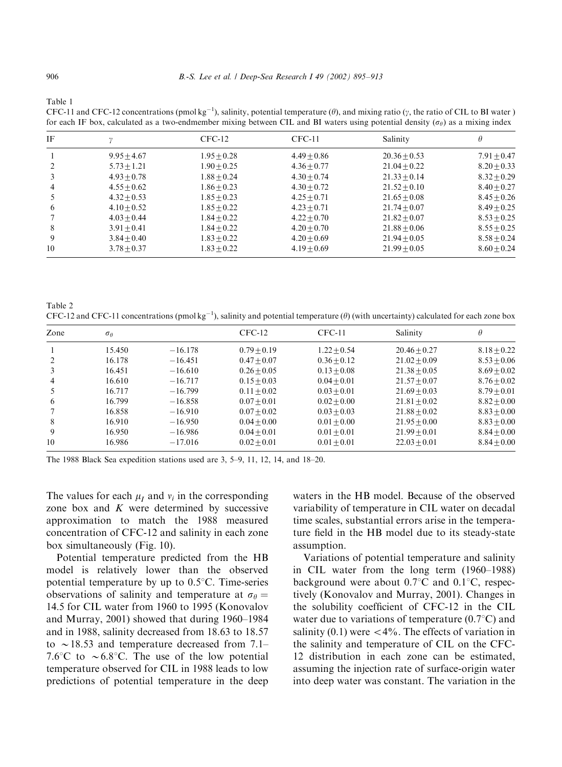Table 1

CFC-11 and CFC-12 concentrations (pmol kg<sup>-1</sup>), salinity, potential temperature ( $\theta$ ), and mixing ratio ( $\gamma$ , the ratio of CIL to BI water ) for each IF box, calculated as a two-endmember mixing between CIL and BI waters using potential density  $(\sigma_\theta)$  as a mixing index

| ΙF |               | $CFC-12$      | $CFC-11$      | Salinity       | H             |
|----|---------------|---------------|---------------|----------------|---------------|
|    | $9.95 + 4.67$ | $1.95 + 0.28$ | $4.49 + 0.86$ | $20.36 + 0.53$ | $7.91 + 0.47$ |
|    | $5.73 + 1.21$ | $1.90 + 0.25$ | $4.36 + 0.77$ | $21.04 + 0.22$ | $8.20 + 0.33$ |
| 3  | $4.93 + 0.78$ | $1.88 + 0.24$ | $4.30 + 0.74$ | $21.33 + 0.14$ | $8.32 + 0.29$ |
| 4  | $4.55 + 0.62$ | $1.86 + 0.23$ | $4.30 + 0.72$ | $21.52 + 0.10$ | $8.40 + 0.27$ |
|    | $4.32 + 0.53$ | $1.85 + 0.23$ | $4.25 + 0.71$ | $21.65 + 0.08$ | $8.45 + 0.26$ |
| 6  | $4.10 + 0.52$ | $1.85 + 0.22$ | $4.23 + 0.71$ | $21.74 + 0.07$ | $8.49 + 0.25$ |
|    | $4.03 + 0.44$ | $1.84 + 0.22$ | $4.22 + 0.70$ | $21.82 + 0.07$ | $8.53 + 0.25$ |
| 8  | $3.91 + 0.41$ | $1.84 + 0.22$ | $4.20 + 0.70$ | $21.88 + 0.06$ | $8.55 + 0.25$ |
| 9  | $3.84 + 0.40$ | $1.83 + 0.22$ | $4.20 + 0.69$ | $21.94 + 0.05$ | $8.58 + 0.24$ |
| 10 | $3.78 + 0.37$ | $1.83 + 0.22$ | $4.19 + 0.69$ | $21.99 + 0.05$ | $8.60 + 0.24$ |

Table 2 CFC-12 and CFC-11 concentrations (pmol kg<sup>-1</sup>), salinity and potential temperature ( $\theta$ ) (with uncertainty) calculated for each zone box

| Zone           | $\sigma_{\theta}$ |           | $CFC-12$      | $CFC-11$      | Salinity       | θ             |
|----------------|-------------------|-----------|---------------|---------------|----------------|---------------|
|                | 15.450            | $-16.178$ | $0.79 + 0.19$ | $1.22 + 0.54$ | $20.46 + 0.27$ | $8.18 + 0.22$ |
| 2              | 16.178            | $-16.451$ | $0.47 + 0.07$ | $0.36 + 0.12$ | $21.02 + 0.09$ | $8.53 + 0.06$ |
| 3              | 16.451            | $-16.610$ | $0.26 + 0.05$ | $0.13 + 0.08$ | $21.38 + 0.05$ | $8.69 + 0.02$ |
| $\overline{4}$ | 16.610            | $-16.717$ | $0.15 + 0.03$ | $0.04 + 0.01$ | $21.57 + 0.07$ | $8.76 + 0.02$ |
|                | 16.717            | $-16.799$ | $0.11 + 0.02$ | $0.03 + 0.01$ | $21.69 + 0.03$ | $8.79 + 0.01$ |
| 6              | 16.799            | $-16.858$ | $0.07 + 0.01$ | $0.02 + 0.00$ | $21.81 + 0.02$ | $8.82 + 0.00$ |
|                | 16.858            | $-16.910$ | $0.07 + 0.02$ | $0.03 + 0.03$ | $21.88 + 0.02$ | $8.83 + 0.00$ |
| 8              | 16.910            | $-16.950$ | $0.04 + 0.00$ | $0.01 + 0.00$ | $21.95 + 0.00$ | $8.83 + 0.00$ |
| 9              | 16.950            | $-16.986$ | $0.04 + 0.01$ | $0.01 + 0.01$ | $21.99 + 0.01$ | $8.84 + 0.00$ |
| 10             | 16.986            | $-17.016$ | $0.02 + 0.01$ | $0.01 + 0.01$ | $22.03 + 0.01$ | $8.84 + 0.00$ |

The 1988 Black Sea expedition stations used are 3, 5–9, 11, 12, 14, and 18–20.

The values for each  $\mu_I$  and  $\nu_i$  in the corresponding zone box and  $K$  were determined by successive approximation to match the 1988 measured concentration of CFC-12 and salinity in each zone box simultaneously (Fig. 10).

Potential temperature predicted from the HB model is relatively lower than the observed potential temperature by up to  $0.5^{\circ}$ C. Time-series observations of salinity and temperature at  $\sigma_{\theta} =$ 14:5 for CIL water from 1960 to 1995 (Konovalov and Murray, 2001) showed that during 1960–1984 and in 1988, salinity decreased from 18.63 to 18.57 to  $\sim$  18.53 and temperature decreased from 7.1– 7.6 $\degree$ C to  $\sim$  6.8 $\degree$ C. The use of the low potential temperature observed for CIL in 1988 leads to low predictions of potential temperature in the deep

waters in the HB model. Because of the observed variability of temperature in CIL water on decadal time scales, substantial errors arise in the temperature field in the HB model due to its steady-state assumption.

Variations of potential temperature and salinity in CIL water from the long term (1960–1988) background were about  $0.7^{\circ}$ C and  $0.1^{\circ}$ C, respectively (Konovalov and Murray, 2001). Changes in the solubility coefficient of CFC-12 in the CIL water due to variations of temperature  $(0.7^{\circ}C)$  and salinity (0.1) were  $\langle 4\% \rangle$ . The effects of variation in the salinity and temperature of CIL on the CFC-12 distribution in each zone can be estimated, assuming the injection rate of surface-origin water into deep water was constant. The variation in the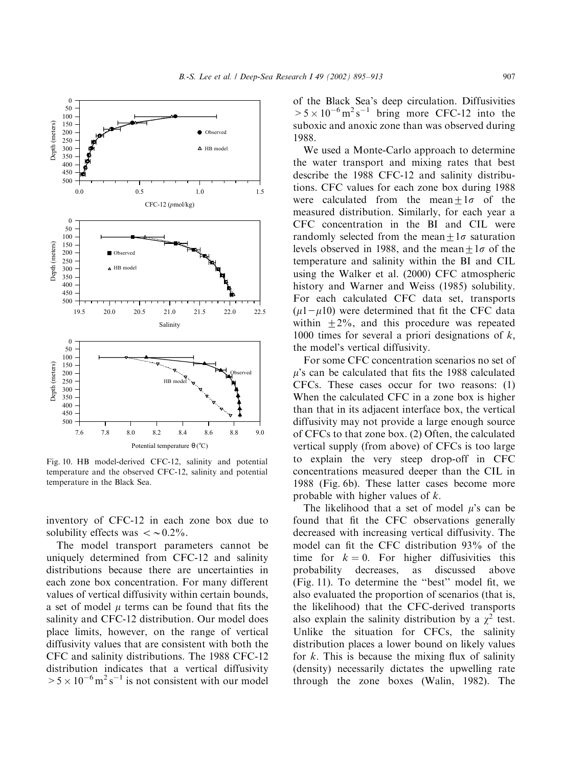

Fig. 10. HB model-derived CFC-12, salinity and potential temperature and the observed CFC-12, salinity and potential temperature in the Black Sea.

inventory of CFC-12 in each zone box due to solubility effects was  $\langle \sim 0.2\%$ .

The model transport parameters cannot be uniquely determined from CFC-12 and salinity distributions because there are uncertainties in each zone box concentration. For many different values of vertical diffusivity within certain bounds, a set of model  $\mu$  terms can be found that fits the salinity and CFC-12 distribution. Our model does place limits, however, on the range of vertical diffusivity values that are consistent with both the CFC and salinity distributions. The 1988 CFC-12 distribution indicates that a vertical diffusivity  $> 5 \times 10^{-6}$  m<sup>2</sup> s<sup>-1</sup> is not consistent with our model

of the Black Sea's deep circulation. Diffusivities  $> 5 \times 10^{-6}$  m<sup>2</sup> s<sup>-1</sup> bring more CFC-12 into the suboxic and anoxic zone than was observed during 1988.

We used a Monte-Carlo approach to determine the water transport and mixing rates that best describe the 1988 CFC-12 and salinity distributions. CFC values for each zone box during 1988 were calculated from the mean $+1\sigma$  of the measured distribution. Similarly, for each year a CFC concentration in the BI and CIL were randomly selected from the mean $+1\sigma$  saturation levels observed in 1988, and the mean +  $1\sigma$  of the temperature and salinity within the BI and CIL using the Walker et al. (2000) CFC atmospheric history and Warner and Weiss (1985) solubility. For each calculated CFC data set, transports  $(\mu1-\mu10)$  were determined that fit the CFC data within  $+2\%$ , and this procedure was repeated 1000 times for several a priori designations of  $k$ , the model's vertical diffusivity.

For some CFC concentration scenarios no set of  $\mu$ 's can be calculated that fits the 1988 calculated CFCs. These cases occur for two reasons: (1) When the calculated CFC in a zone box is higher than that in its adjacent interface box, the vertical diffusivity may not provide a large enough source of CFCs to that zone box. (2) Often, the calculated vertical supply (from above) of CFCs is too large to explain the very steep drop-off in CFC concentrations measured deeper than the CIL in 1988 (Fig. 6b). These latter cases become more probable with higher values of  $k$ .

The likelihood that a set of model  $\mu$ 's can be found that fit the CFC observations generally decreased with increasing vertical diffusivity. The model can fit the CFC distribution 93% of the time for  $k = 0$ . For higher diffusivities this probability decreases, as discussed above (Fig. 11). To determine the ''best'' model fit, we also evaluated the proportion of scenarios (that is, the likelihood) that the CFC-derived transports also explain the salinity distribution by a  $\chi^2$  test. Unlike the situation for CFCs, the salinity distribution places a lower bound on likely values for  $k$ . This is because the mixing flux of salinity (density) necessarily dictates the upwelling rate through the zone boxes (Walin, 1982). The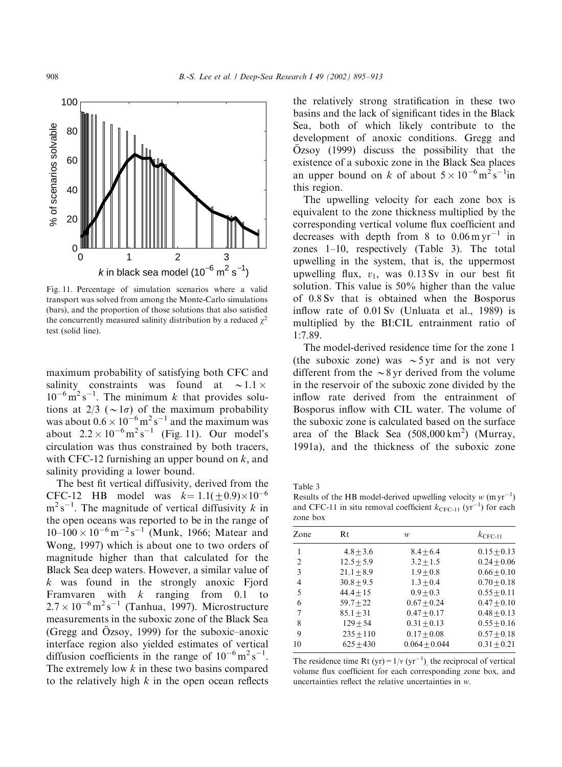

Fig. 11. Percentage of simulation scenarios where a valid transport was solved from among the Monte-Carlo simulations (bars), and the proportion of those solutions that also satisfied the concurrently measured salinity distribution by a reduced  $\gamma^2$ test (solid line).

maximum probability of satisfying both CFC and salinity constraints was found at  $\sim$  1.1  $\times$  $10^{-6}$  m<sup>2</sup> s<sup>-1</sup>. The minimum k that provides solutions at  $2/3$  ( $\sim 1\sigma$ ) of the maximum probability was about  $0.6 \times 10^{-6}$  m<sup>2</sup> s<sup>-1</sup> and the maximum was about  $2.2 \times 10^{-6}$  m<sup>2</sup> s<sup>-1</sup> (Fig. 11). Our model's circulation was thus constrained by both tracers, with CFC-12 furnishing an upper bound on  $k$ , and salinity providing a lower bound.

The best fit vertical diffusivity, derived from the CFC-12 HB model was  $k=1.1(\pm 0.9)\times 10^{-6}$  $m^2 s^{-1}$ . The magnitude of vertical diffusivity k in the open oceans was reported to be in the range of  $10-100 \times 10^{-6}$  m<sup>-2</sup> s<sup>-1</sup> (Munk, 1966; Matear and Wong, 1997) which is about one to two orders of magnitude higher than that calculated for the Black Sea deep waters. However, a similar value of  $k$  was found in the strongly anoxic Fjord Framvaren with  $k$  ranging from 0.1 to  $2.7 \times 10^{-6}$  m<sup>2</sup> s<sup>-1</sup> (Tanhua, 1997). Microstructure measurements in the suboxic zone of the Black Sea (Gregg and  $\ddot{O}$ zsoy, 1999) for the suboxic–anoxic interface region also yielded estimates of vertical diffusion coefficients in the range of  $10^{-6}$  m<sup>2</sup> s<sup>-1</sup>. The extremely low  $k$  in these two basins compared to the relatively high  $k$  in the open ocean reflects

the relatively strong stratification in these two basins and the lack of significant tides in the Black Sea, both of which likely contribute to the development of anoxic conditions. Gregg and  $Ozsoy$  (1999) discuss the possibility that the existence of a suboxic zone in the Black Sea places an upper bound on k of about  $5 \times 10^{-6}$  m<sup>2</sup> s<sup>-1</sup>in this region.

The upwelling velocity for each zone box is equivalent to the zone thickness multiplied by the corresponding vertical volume flux coefficient and decreases with depth from 8 to  $0.06 \,\mathrm{m}\,\mathrm{yr}^{-1}$  in zones 1–10, respectively (Table 3). The total upwelling in the system, that is, the uppermost upwelling flux,  $v_1$ , was 0.13 Sv in our best fit solution. This value is 50% higher than the value of 0.8 Sv that is obtained when the Bosporus inflow rate of 0.01 Sv (Unluata et al., 1989) is multiplied by the BI:CIL entrainment ratio of 1:7.89.

The model-derived residence time for the zone 1 (the suboxic zone) was  $\sim$  5 yr and is not very different from the  $\sim$ 8 yr derived from the volume in the reservoir of the suboxic zone divided by the inflow rate derived from the entrainment of Bosporus inflow with CIL water. The volume of the suboxic zone is calculated based on the surface area of the Black Sea  $(508,000 \text{ km}^2)$  (Murray, 1991a), and the thickness of the suboxic zone

Table 3

Results of the HB model-derived upwelling velocity  $w$  (m yr<sup>-1</sup>) and CFC-11 in situ removal coefficient  $k_{\text{CFC-11}}$  (yr<sup>-1</sup>) for each zone box

| Zone | Rt           | w               | $k_{\text{CFC-11}}$ |  |  |  |
|------|--------------|-----------------|---------------------|--|--|--|
| 1    | $4.8 + 3.6$  | $8.4 + 6.4$     | $0.15 + 0.13$       |  |  |  |
| 2    | $12.5 + 5.9$ | $3.2 + 1.5$     | $0.24 + 0.06$       |  |  |  |
| 3    | $21.1 + 8.9$ | $1.9 + 0.8$     | $0.66 + 0.10$       |  |  |  |
| 4    | $30.8 + 9.5$ | $1.3 + 0.4$     | $0.70 + 0.18$       |  |  |  |
| 5    | $44.4 + 15$  | $0.9 + 0.3$     | $0.55 + 0.11$       |  |  |  |
| 6    | $59.7 + 22$  | $0.67 + 0.24$   | $0.47 + 0.10$       |  |  |  |
| 7    | $85.1 + 31$  | $0.47 + 0.17$   | $0.48 + 0.13$       |  |  |  |
| 8    | $129 + 54$   | $0.31 + 0.13$   | $0.55 + 0.16$       |  |  |  |
| 9    | $235 + 110$  | $0.17 + 0.08$   | $0.57 + 0.18$       |  |  |  |
| 10   | $625 + 430$  | $0.064 + 0.044$ | $0.31 + 0.21$       |  |  |  |

The residence time Rt (yr) =  $1/v$  (yr<sup>-1</sup>), the reciprocal of vertical volume flux coefficient for each corresponding zone box, and uncertainties reflect the relative uncertainties in  $w$ .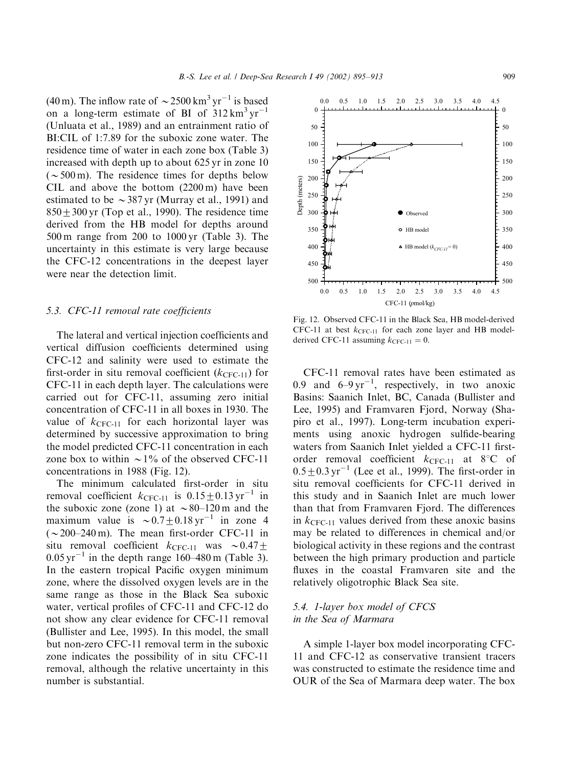(40 m). The inflow rate of  $\sim$  2500 km<sup>3</sup> yr<sup>-1</sup> is based on a long-term estimate of BI of  $312 \text{ km}^3 \text{ yr}^{-1}$ (Unluata et al., 1989) and an entrainment ratio of BI:CIL of 1:7.89 for the suboxic zone water. The residence time of water in each zone box (Table 3) increased with depth up to about 625 yr in zone 10  $({\sim}500 \,\mathrm{m})$ . The residence times for depths below CIL and above the bottom (2200 m) have been estimated to be  $\sim$  387 yr (Murray et al., 1991) and  $850+300$  yr (Top et al., 1990). The residence time derived from the HB model for depths around 500 m range from 200 to 1000 yr (Table 3). The uncertainty in this estimate is very large because the CFC-12 concentrations in the deepest layer were near the detection limit.

#### 5.3. CFC-11 removal rate coefficients

The lateral and vertical injection coefficients and vertical diffusion coefficients determined using CFC-12 and salinity were used to estimate the first-order in situ removal coefficient  $(k_{\text{CFC-11}})$  for CFC-11 in each depth layer. The calculations were carried out for CFC-11, assuming zero initial concentration of CFC-11 in all boxes in 1930. The value of  $k_{CFC-11}$  for each horizontal layer was determined by successive approximation to bring the model predicted CFC-11 concentration in each zone box to within  $\sim$  1% of the observed CFC-11 concentrations in 1988 (Fig. 12).

The minimum calculated first-order in situ removal coefficient  $k_{\text{CFC-11}}$  is  $0.15\pm0.13 \,\text{yr}^{-1}$  in the suboxic zone (zone 1) at  $\sim 80-120$  m and the maximum value is  $\sim 0.7+0.18$  yr<sup>-1</sup> in zone 4  $({\sim}200-240 \text{ m})$ . The mean first-order CFC-11 in situ removal coefficient  $k_{\text{CFC-11}}$  was  $\sim 0.47\pm$  $0.05 \,\mathrm{yr}^{-1}$  in the depth range 160–480 m (Table 3). In the eastern tropical Pacific oxygen minimum zone, where the dissolved oxygen levels are in the same range as those in the Black Sea suboxic water, vertical profiles of CFC-11 and CFC-12 do not show any clear evidence for CFC-11 removal (Bullister and Lee, 1995). In this model, the small but non-zero CFC-11 removal term in the suboxic zone indicates the possibility of in situ CFC-11 removal, although the relative uncertainty in this number is substantial.



Fig. 12. Observed CFC-11 in the Black Sea, HB model-derived CFC-11 at best  $k_{CFC-11}$  for each zone layer and HB modelderived CFC-11 assuming  $k_{\text{CFC-11}} = 0$ .

CFC-11 removal rates have been estimated as 0.9 and  $6-9 \text{ yr}^{-1}$ , respectively, in two anoxic Basins: Saanich Inlet, BC, Canada (Bullister and Lee, 1995) and Framvaren Fjord, Norway (Shapiro et al., 1997). Long-term incubation experiments using anoxic hydrogen sulfide-bearing waters from Saanich Inlet yielded a CFC-11 firstorder removal coefficient  $k_{\text{CFC-11}}$  at 8°C of  $0.5\pm0.3$  yr<sup>-1</sup> (Lee et al., 1999). The first-order in situ removal coefficients for CFC-11 derived in this study and in Saanich Inlet are much lower than that from Framvaren Fjord. The differences in  $k_{CFC-11}$  values derived from these anoxic basins may be related to differences in chemical and/or biological activity in these regions and the contrast between the high primary production and particle fluxes in the coastal Framvaren site and the relatively oligotrophic Black Sea site.

## 5.4. 1-layer box model of CFCS in the Sea of Marmara

A simple 1-layer box model incorporating CFC-11 and CFC-12 as conservative transient tracers was constructed to estimate the residence time and OUR of the Sea of Marmara deep water. The box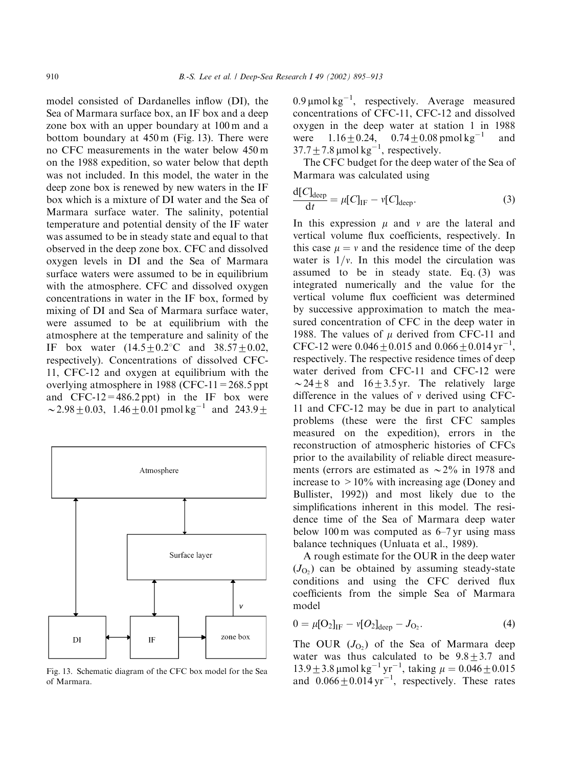model consisted of Dardanelles inflow (DI), the Sea of Marmara surface box, an IF box and a deep zone box with an upper boundary at 100 m and a bottom boundary at 450 m (Fig. 13). There were no CFC measurements in the water below 450 m on the 1988 expedition, so water below that depth was not included. In this model, the water in the deep zone box is renewed by new waters in the IF box which is a mixture of DI water and the Sea of Marmara surface water. The salinity, potential temperature and potential density of the IF water was assumed to be in steady state and equal to that observed in the deep zone box. CFC and dissolved oxygen levels in DI and the Sea of Marmara surface waters were assumed to be in equilibrium with the atmosphere. CFC and dissolved oxygen concentrations in water in the IF box, formed by mixing of DI and Sea of Marmara surface water, were assumed to be at equilibrium with the atmosphere at the temperature and salinity of the IF box water  $(14.5 \pm 0.2^{\circ}\text{C}$  and  $38.57 \pm 0.02$ , respectively). Concentrations of dissolved CFC-11, CFC-12 and oxygen at equilibrium with the overlying atmosphere in 1988 (CFC-11=268.5 ppt and  $CFC-12=486.2$  ppt) in the IF box were  $\sim$  2.98  $\pm$  0.03, 1.46  $\pm$  0.01 pmol kg<sup>-1</sup> and 243.9  $\pm$ 



Fig. 13. Schematic diagram of the CFC box model for the Sea of Marmara.

0.9  $\mu$ mol kg<sup>-1</sup>, respectively. Average measured concentrations of CFC-11, CFC-12 and dissolved oxygen in the deep water at station 1 in 1988 were  $1.16 \pm 0.24$ ,  $0.74 \pm 0.08$  pmol kg<sup>-1</sup> and  $37.7 \pm 7.8$  µmol kg<sup>-1</sup>, respectively.

The CFC budget for the deep water of the Sea of Marmara was calculated using

$$
\frac{\mathrm{d}[C]_{\text{deep}}}{\mathrm{d}t} = \mu[C]_{\text{IF}} - \nu[C]_{\text{deep}}.\tag{3}
$$

In this expression  $\mu$  and  $\nu$  are the lateral and vertical volume flux coefficients, respectively. In this case  $\mu = v$  and the residence time of the deep water is  $1/v$ . In this model the circulation was assumed to be in steady state. Eq. (3) was integrated numerically and the value for the vertical volume flux coefficient was determined by successive approximation to match the measured concentration of CFC in the deep water in 1988. The values of  $\mu$  derived from CFC-11 and CFC-12 were  $0.046 \pm 0.015$  and  $0.066 \pm 0.014$  yr<sup>-1</sup>, respectively. The respective residence times of deep water derived from CFC-11 and CFC-12 were  $\sim$  24  $\pm$  8 and 16  $\pm$  3.5 yr. The relatively large difference in the values of  $\nu$  derived using CFC-11 and CFC-12 may be due in part to analytical problems (these were the first CFC samples measured on the expedition), errors in the reconstruction of atmospheric histories of CFCs prior to the availability of reliable direct measurements (errors are estimated as  $\sim$ 2% in 1978 and increase to  $>10\%$  with increasing age (Doney and Bullister, 1992)) and most likely due to the simplifications inherent in this model. The residence time of the Sea of Marmara deep water below 100 m was computed as  $6-7$  yr using mass balance techniques (Unluata et al., 1989).

A rough estimate for the OUR in the deep water  $(J<sub>O<sub>2</sub></sub>)$  can be obtained by assuming steady-state conditions and using the CFC derived flux coefficients from the simple Sea of Marmara model

$$
0 = \mu [O_2]_{IF} - \nu [O_2]_{deep} - J_{O_2}.
$$
 (4)

The OUR  $(J<sub>O<sub>2</sub></sub>)$  of the Sea of Marmara deep water was thus calculated to be  $9.8 + 3.7$  and  $13.9 \pm 3.8 \,\text{\mu}$ mol kg<sup>-1</sup> yr<sup>-1</sup>, taking  $\mu = 0.046 \pm 0.015$ and  $0.066 \pm 0.014$  yr<sup>-1</sup>, respectively. These rates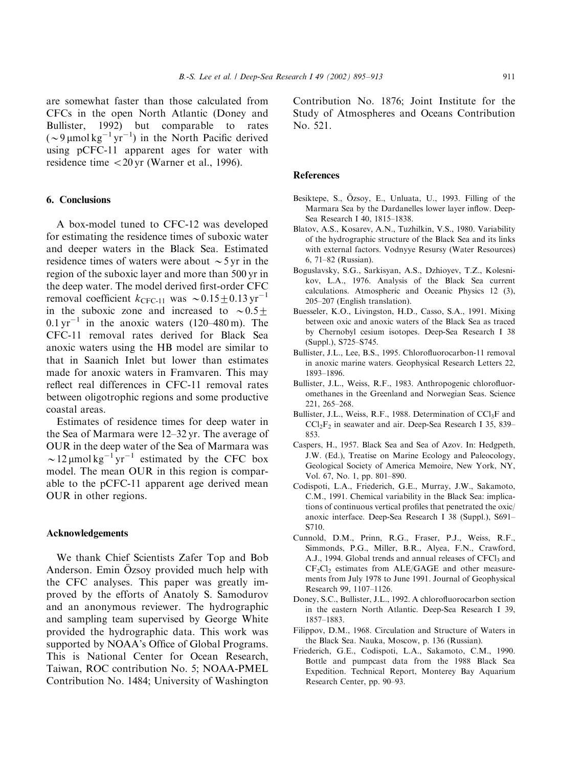are somewhat faster than those calculated from CFCs in the open North Atlantic (Doney and Bullister, 1992) but comparable to rates  $({\sim}9 \,\mu\text{mol}\,\text{kg}^{-1}\,\text{yr}^{-1})$  in the North Pacific derived using pCFC-11 apparent ages for water with residence time  $<$  20 yr (Warner et al., 1996).

## 6. Conclusions

A box-model tuned to CFC-12 was developed for estimating the residence times of suboxic water and deeper waters in the Black Sea. Estimated residence times of waters were about  $\sim$  5 yr in the region of the suboxic layer and more than 500 yr in the deep water. The model derived first-order CFC removal coefficient  $k_{\text{CFC-11}}$  was  $\sim 0.15+0.13 \,\text{yr}^{-1}$ in the suboxic zone and increased to  $\sim 0.5+$  $0.1 \,\text{yr}^{-1}$  in the anoxic waters (120–480 m). The CFC-11 removal rates derived for Black Sea anoxic waters using the HB model are similar to that in Saanich Inlet but lower than estimates made for anoxic waters in Framvaren. This may reflect real differences in CFC-11 removal rates between oligotrophic regions and some productive coastal areas.

Estimates of residence times for deep water in the Sea of Marmara were 12–32 yr. The average of OUR in the deep water of the Sea of Marmara was  $\sim$  12 µmol kg<sup>-1</sup> yr<sup>-1</sup> estimated by the CFC box model. The mean OUR in this region is comparable to the pCFC-11 apparent age derived mean OUR in other regions.

## Acknowledgements

We thank Chief Scientists Zafer Top and Bob Anderson. Emin Ozsoy provided much help with . the CFC analyses. This paper was greatly improved by the efforts of Anatoly S. Samodurov and an anonymous reviewer. The hydrographic and sampling team supervised by George White provided the hydrographic data. This work was supported by NOAA's Office of Global Programs. This is National Center for Ocean Research, Taiwan, ROC contribution No. 5; NOAA-PMEL Contribution No. 1484; University of Washington Contribution No. 1876; Joint Institute for the Study of Atmospheres and Oceans Contribution No. 521.

#### References

- Besiktepe, S., Özsoy, E., Unluata, U., 1993. Filling of the Marmara Sea by the Dardanelles lower layer inflow. Deep-Sea Research I 40, 1815–1838.
- Blatov, A.S., Kosarev, A.N., Tuzhilkin, V.S., 1980. Variability of the hydrographic structure of the Black Sea and its links with external factors. Vodnyye Resursy (Water Resources) 6, 71–82 (Russian).
- Boguslavsky, S.G., Sarkisyan, A.S., Dzhioyev, T.Z., Kolesnikov, L.A., 1976. Analysis of the Black Sea current calculations. Atmospheric and Oceanic Physics 12 (3), 205–207 (English translation).
- Buesseler, K.O., Livingston, H.D., Casso, S.A., 1991. Mixing between oxic and anoxic waters of the Black Sea as traced by Chernobyl cesium isotopes. Deep-Sea Research I 38 (Suppl.), S725–S745.
- Bullister, J.L., Lee, B.S., 1995. Chlorofluorocarbon-11 removal in anoxic marine waters. Geophysical Research Letters 22, 1893–1896.
- Bullister, J.L., Weiss, R.F., 1983. Anthropogenic chlorofluoromethanes in the Greenland and Norwegian Seas. Science 221, 265–268.
- Bullister, J.L., Weiss, R.F., 1988. Determination of CCl<sub>3</sub>F and  $CCl_2F_2$  in seawater and air. Deep-Sea Research I 35, 839– 853.
- Caspers, H., 1957. Black Sea and Sea of Azov. In: Hedgpeth, J.W. (Ed.), Treatise on Marine Ecology and Paleocology, Geological Society of America Memoire, New York, NY, Vol. 67, No. 1, pp. 801–890.
- Codispoti, L.A., Friederich, G.E., Murray, J.W., Sakamoto, C.M., 1991. Chemical variability in the Black Sea: implications of continuous vertical profiles that penetrated the oxic/ anoxic interface. Deep-Sea Research I 38 (Suppl.), S691– S710.
- Cunnold, D.M., Prinn, R.G., Fraser, P.J., Weiss, R.F., Simmonds, P.G., Miller, B.R., Alyea, F.N., Crawford, A.J., 1994. Global trends and annual releases of CFCl<sub>3</sub> and  $CF_2Cl_2$  estimates from ALE/GAGE and other measurements from July 1978 to June 1991. Journal of Geophysical Research 99, 1107–1126.
- Doney, S.C., Bullister, J.L., 1992. A chlorofluorocarbon section in the eastern North Atlantic. Deep-Sea Research I 39, 1857–1883.
- Filippov, D.M., 1968. Circulation and Structure of Waters in the Black Sea. Nauka, Moscow, p. 136 (Russian).
- Friederich, G.E., Codispoti, L.A., Sakamoto, C.M., 1990. Bottle and pumpcast data from the 1988 Black Sea Expedition. Technical Report, Monterey Bay Aquarium Research Center, pp. 90–93.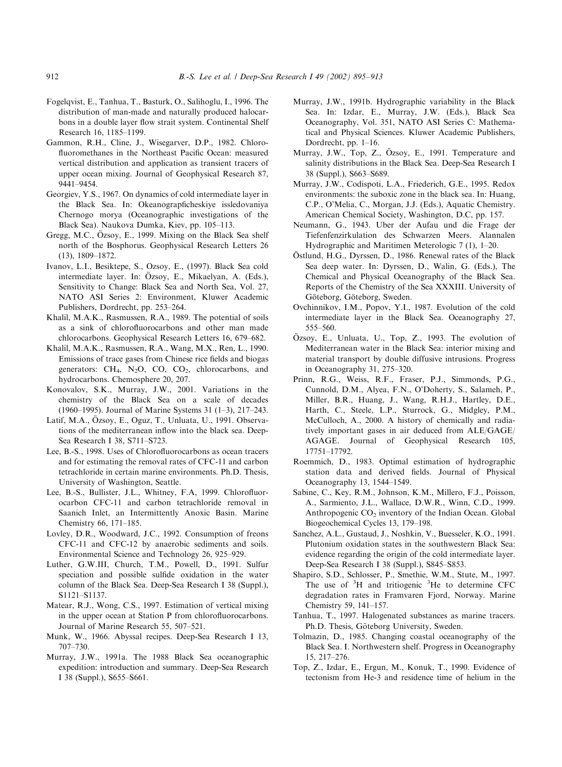- Fogelqvist, E., Tanhua, T., Basturk, O., Salihoglu, I., 1996. The distribution of man-made and naturally produced halocarbons in a double layer flow strait system. Continental Shelf Research 16, 1185–1199.
- Gammon, R.H., Cline, J., Wisegarver, D.P., 1982. Chlorofluoromethanes in the Northeast Pacific Ocean: measured vertical distribution and application as transient tracers of upper ocean mixing. Journal of Geophysical Research 87, 9441–9454.
- Georgiev, Y.S., 1967. On dynamics of cold intermediate layer in the Black Sea. In: Okeanograpficheskiye issledovaniya Chernogo morya (Oceanographic investigations of the Black Sea). Naukova Dumka, Kiev, pp. 105–113.
- Gregg, M.C., Özsoy, E., 1999. Mixing on the Black Sea shelf north of the Bosphorus. Geophysical Research Letters 26 (13), 1809–1872.
- Ivanov, L.I., Besiktepe, S., Ozsoy, E., (1997). Black Sea cold intermediate layer. In: Özsoy, E., Mikaelyan, A. (Eds.), Sensitivity to Change: Black Sea and North Sea, Vol. 27, NATO ASI Series 2: Environment, Kluwer Academic Publishers, Dordrecht, pp. 253–264.
- Khalil, M.A.K., Rasmussen, R.A., 1989. The potential of soils as a sink of chlorofluorocarbons and other man made chlorocarbons. Geophysical Research Letters 16, 679–682.
- Khalil, M.A.K., Rasmussen, R.A., Wang, M.X., Ren, L., 1990. Emissions of trace gases from Chinese rice fields and biogas generators: CH<sub>4</sub>, N<sub>2</sub>O, CO, CO<sub>2</sub>, chlorocarbons, and hydrocarbons. Chemosphere 20, 207.
- Konovalov, S.K., Murray, J.W., 2001. Variations in the chemistry of the Black Sea on a scale of decades (1960–1995). Journal of Marine Systems 31 (1–3), 217–243.
- Latif, M.A., Ozsoy, E., Oguz, T., Unluata, U., 1991. Observa- . tions of the mediterranean inflow into the black sea. Deep-Sea Research I 38, S711–S723.
- Lee, B.-S., 1998. Uses of Chlorofluorocarbons as ocean tracers and for estimating the removal rates of CFC-11 and carbon tetrachloride in certain marine environments. Ph.D. Thesis, University of Washington, Seattle.
- Lee, B.-S., Bullister, J.L., Whitney, F.A, 1999. Chlorofluorocarbon CFC-11 and carbon tetrachloride removal in Saanich Inlet, an Intermittently Anoxic Basin. Marine Chemistry 66, 171–185.
- Lovley, D.R., Woodward, J.C., 1992. Consumption of freons CFC-11 and CFC-12 by anaerobic sediments and soils. Environmental Science and Technology 26, 925–929.
- Luther, G.W.III, Church, T.M., Powell, D., 1991. Sulfur speciation and possible sulfide oxidation in the water column of the Black Sea. Deep-Sea Research I 38 (Suppl.), S1121–S1137.
- Matear, R.J., Wong, C.S., 1997. Estimation of vertical mixing in the upper ocean at Station P from chlorofluorocarbons. Journal of Marine Research 55, 507–521.
- Munk, W., 1966. Abyssal recipes. Deep-Sea Research I 13, 707–730.
- Murray, J.W., 1991a. The 1988 Black Sea oceanographic expedition: introduction and summary. Deep-Sea Research I 38 (Suppl.), S655–S661.
- Murray, J.W., 1991b. Hydrographic variability in the Black Sea. In: Izdar, E., Murray, J.W. (Eds.), Black Sea Oceanography, Vol. 351, NATO ASI Series C: Mathematical and Physical Sciences. Kluwer Academic Publishers, Dordrecht, pp. 1–16.
- Murray, J.W., Top, Z., Özsoy, E., 1991. Temperature and salinity distributions in the Black Sea. Deep-Sea Research I 38 (Suppl.), S663–S689.
- Murray, J.W., Codispoti, L.A., Friederich, G.E., 1995. Redox environments: the suboxic zone in the black sea. In: Huang, C.P., O'Melia, C., Morgan, J.J. (Eds.), Aquatic Chemistry. American Chemical Society, Washington, D.C, pp. 157.
- Neumann, G., 1943. Uber der Aufau und die Frage der Tiefenfenzirkulation des Schwarzen Meers. Alannalen Hydrographic and Maritimen Meterologic 7 (1), 1–20.
- Ostlund, H.G., Dyrssen, D., 1986. Renewal rates of the Black . Sea deep water. In: Dyrssen, D., Walin, G. (Eds.), The Chemical and Physical Oceanography of the Black Sea. Reports of the Chemistry of the Sea XXXIII. University of Göteborg, Göteborg, Sweden.
- Ovchinnikov, I.M., Popov, Y.I., 1987. Evolution of the cold intermediate layer in the Black Sea. Oceanography 27, 555–560.
- Özsoy, E., Unluata, U., Top, Z., 1993. The evolution of Mediterranean water in the Black Sea: interior mixing and material transport by double diffusive intrusions. Progress in Oceanography 31, 275–320.
- Prinn, R.G., Weiss, R.F., Fraser, P.J., Simmonds, P.G., Cunnold, D.M., Alyea, F.N., O'Doherty, S., Salameh, P., Miller, B.R., Huang, J., Wang, R.H.J., Hartley, D.E., Harth, C., Steele, L.P., Sturrock, G., Midgley, P.M., McCulloch, A., 2000. A history of chemically and radiatively important gases in air deduced from ALE/GAGE/ AGAGE. Journal of Geophysical Research 105, 17751–17792.
- Roemmich, D., 1983. Optimal estimation of hydrographic station data and derived fields. Journal of Physical Oceanography 13, 1544–1549.
- Sabine, C., Key, R.M., Johnson, K.M., Millero, F.J., Poisson, A., Sarmiento, J.L., Wallace, D.W.R., Winn, C.D., 1999. Anthropogenic  $CO<sub>2</sub>$  inventory of the Indian Ocean. Global Biogeochemical Cycles 13, 179–198.
- Sanchez, A.L., Gustaud, J., Noshkin, V., Buesseler, K.O., 1991. Plutonium oxidation states in the southwestern Black Sea: evidence regarding the origin of the cold intermediate layer. Deep-Sea Research I 38 (Suppl.), S845–S853.
- Shapiro, S.D., Schlosser, P., Smethie, W.M., Stute, M., 1997. The use of  ${}^{3}H$  and tritiogenic  ${}^{3}He$  to determine CFC degradation rates in Framvaren Fjord, Norway. Marine Chemistry 59, 141–157.
- Tanhua, T., 1997. Halogenated substances as marine tracers. Ph.D. Thesis, Göteborg University, Sweden.
- Tolmazin, D., 1985. Changing coastal oceanography of the Black Sea. I. Northwestern shelf. Progress in Oceanography 15, 217–276.
- Top, Z., Izdar, E., Ergun, M., Konuk, T., 1990. Evidence of tectonism from He-3 and residence time of helium in the